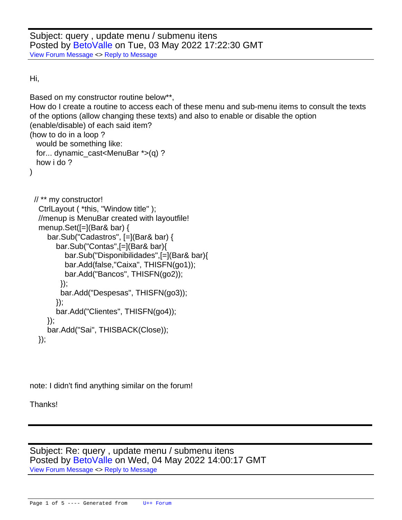Subject: query , update menu / submenu itens Posted by [BetoValle](https://www.ultimatepp.org/forums/index.php?t=usrinfo&id=34547) on Tue, 03 May 2022 17:22:30 GMT [View Forum Message](https://www.ultimatepp.org/forums/index.php?t=rview&th=11807&goto=58345#msg_58345) <> [Reply to Message](https://www.ultimatepp.org/forums/index.php?t=post&reply_to=58345)

Hi,

```
Based on my constructor routine below**,
How do I create a routine to access each of these menu and sub-menu items to consult the texts
of the options (allow changing these texts) and also to enable or disable the option
(enable/disable) of each said item?
(how to do in a loop ?
  would be something like:
  for... dynamic_cast<MenuBar *>(q) ?
  how i do ?
)
  // ** my constructor!
   CtrlLayout ( *this, "Window title" );
   //menup is MenuBar created with layoutfile! 
   menup.Set([=](Bar& bar) {
      bar.Sub("Cadastros", [=](Bar& bar) {
        bar.Sub("Contas",[=](Bar& bar){
           bar.Sub("Disponibilidades",[=](Bar& bar){
           bar.Add(false,"Caixa", THISFN(go1)); 
           bar.Add("Bancos", THISFN(go2)); 
          });
          bar.Add("Despesas", THISFN(go3)); 
        });
        bar.Add("Clientes", THISFN(go4));
      });
      bar.Add("Sai", THISBACK(Close));
   });
```
note: I didn't find anything similar on the forum!

Thanks!

Subject: Re: query , update menu / submenu itens Posted by [BetoValle](https://www.ultimatepp.org/forums/index.php?t=usrinfo&id=34547) on Wed, 04 May 2022 14:00:17 GMT [View Forum Message](https://www.ultimatepp.org/forums/index.php?t=rview&th=11807&goto=58347#msg_58347) <> [Reply to Message](https://www.ultimatepp.org/forums/index.php?t=post&reply_to=58347)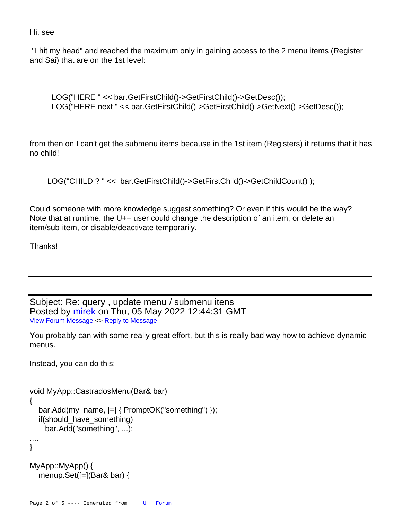Hi, see

 "I hit my head" and reached the maximum only in gaining access to the 2 menu items (Register and Sai) that are on the 1st level:

```
 LOG("HERE " << bar.GetFirstChild()->GetFirstChild()->GetDesc());
LOG("HERE next " << bar.GetFirstChild()->GetFirstChild()->GetNext()->GetDesc());
```
from then on I can't get the submenu items because in the 1st item (Registers) it returns that it has no child!

```
LOG("CHILD ? " << bar.GetFirstChild()->GetFirstChild()->GetChildCount() );
```
Could someone with more knowledge suggest something? Or even if this would be the way? Note that at runtime, the U++ user could change the description of an item, or delete an item/sub-item, or disable/deactivate temporarily.

Thanks!

Subject: Re: query , update menu / submenu itens Posted by [mirek](https://www.ultimatepp.org/forums/index.php?t=usrinfo&id=3) on Thu, 05 May 2022 12:44:31 GMT [View Forum Message](https://www.ultimatepp.org/forums/index.php?t=rview&th=11807&goto=58348#msg_58348) <> [Reply to Message](https://www.ultimatepp.org/forums/index.php?t=post&reply_to=58348)

You probably can with some really great effort, but this is really bad way how to achieve dynamic menus.

Instead, you can do this:

```
void MyApp::CastradosMenu(Bar& bar)
{
   bar.Add(my_name, [=] { PromptOK("something") });
   if(should_have_something)
     bar.Add("something", ...);
....
}
MyApp::MyApp() {
```
menup.Set([=](Bar& bar) {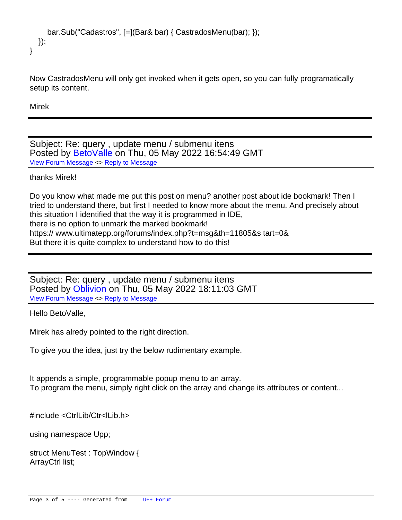```
 bar.Sub("Cadastros", [=](Bar& bar) { CastradosMenu(bar); });
   });
}
```
Now CastradosMenu will only get invoked when it gets open, so you can fully programatically setup its content.

Mirek

Subject: Re: query , update menu / submenu itens Posted by [BetoValle](https://www.ultimatepp.org/forums/index.php?t=usrinfo&id=34547) on Thu, 05 May 2022 16:54:49 GMT [View Forum Message](https://www.ultimatepp.org/forums/index.php?t=rview&th=11807&goto=58349#msg_58349) <> [Reply to Message](https://www.ultimatepp.org/forums/index.php?t=post&reply_to=58349)

thanks Mirek!

Do you know what made me put this post on menu? another post about ide bookmark! Then I tried to understand there, but first I needed to know more about the menu. And precisely about this situation I identified that the way it is programmed in IDE, there is no option to unmark the marked bookmark! https:// www.ultimatepp.org/forums/index.php?t=msg&th=11805&s tart=0& But there it is quite complex to understand how to do this!

Subject: Re: query , update menu / submenu itens Posted by [Oblivion](https://www.ultimatepp.org/forums/index.php?t=usrinfo&id=447) on Thu, 05 May 2022 18:11:03 GMT [View Forum Message](https://www.ultimatepp.org/forums/index.php?t=rview&th=11807&goto=58350#msg_58350) <> [Reply to Message](https://www.ultimatepp.org/forums/index.php?t=post&reply_to=58350)

Hello BetoValle,

Mirek has alredy pointed to the right direction.

To give you the idea, just try the below rudimentary example.

It appends a simple, programmable popup menu to an array. To program the menu, simply right click on the array and change its attributes or content...

#include <CtrlLib/Ctr<lLib.h>

using namespace Upp;

struct MenuTest : TopWindow { ArrayCtrl list;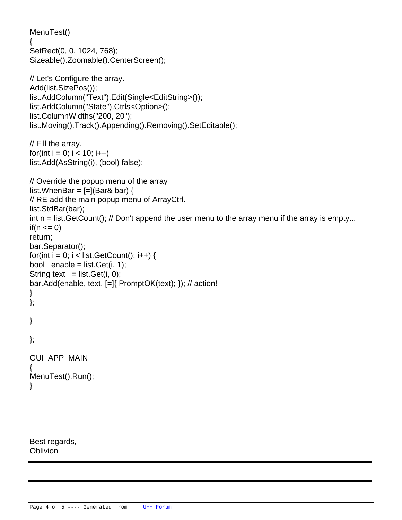```
	MenuTest()
	{
 		SetRect(0, 0, 1024, 768);
 		Sizeable().Zoomable().CenterScreen();
 		// Let's Configure the array.
 		Add(list.SizePos());
 		list.AddColumn("Text").Edit(Single<EditString>());
 		list.AddColumn("State").Ctrls<Option>();
 		list.ColumnWidths("200, 20");
 		list.Moving().Track().Appending().Removing().SetEditable();
 		// Fill the array.
 for(int i = 0; i < 10; i++)
 			list.Add(AsString(i), (bool) false);
 		// Override the popup menu of the array
 list.WhenBar = [=](Bar& bar) {
 			// RE-add the main popup menu of ArrayCtrl.
  			list.StdBar(bar);
  int n = list. Get Count(); // Don't append the user menu to the array menu if the array is empty...
  if(n \leq 0)				return;
  			bar.Separator();
  for(int i = 0; i < list.GetCount(); i++) {
  bool enable = list. Get(i, 1);
  String text = list. Get(i, 0);
  				bar.Add(enable, text, [=]{ PromptOK(text); }); // action!
  			}
 		};
	}
};
GUI APP MAIN
{
	MenuTest().Run();
}
```
Best regards, Oblivion